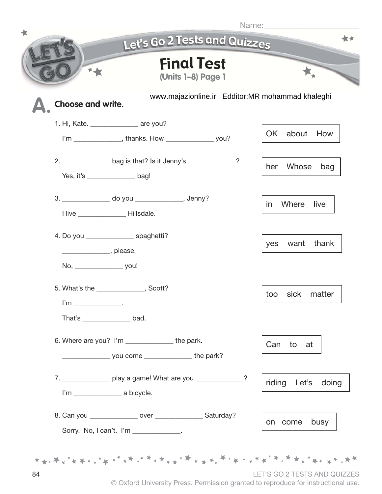|                                     | <b>Final Test</b>                                                   |                                                  |
|-------------------------------------|---------------------------------------------------------------------|--------------------------------------------------|
|                                     | (Units 1-8) Page 1                                                  |                                                  |
| Choose and write.                   |                                                                     | www.majazionline.ir Edditor:MR mohammad khaleghi |
|                                     | 1. Hi, Kate. ________________ are you?                              |                                                  |
|                                     | I'm _______________, thanks. How _____________________ you?         | OK<br>about<br>How                               |
|                                     | 2. _________________ bag is that? Is it Jenny's _____________?      | Whose<br>her                                     |
|                                     | Yes, it's bag!                                                      | bag                                              |
|                                     | 3. _________________ do you _________________, Jenny?               |                                                  |
|                                     | I live ____________ Hillsdale.                                      | Where<br>live<br>in.                             |
|                                     | 4. Do you _________________ spaghetti?                              |                                                  |
|                                     |                                                                     | thank<br>want<br>yes                             |
| No, _______________________ you!    |                                                                     |                                                  |
|                                     | 5. What's the the sect?                                             |                                                  |
| $\mathsf{I'm}$ ___________________. |                                                                     | sick<br>too<br>matter                            |
|                                     |                                                                     |                                                  |
|                                     | 6. Where are you? I'm __________________ the park.                  | Can<br>to<br>at                                  |
|                                     |                                                                     |                                                  |
|                                     | 7. __________________ play a game! What are you _______________?    | riding<br>Let's<br>doing                         |
|                                     |                                                                     |                                                  |
|                                     | 8. Can you _________________ over _______________________ Saturday? | busy<br>on come                                  |
|                                     | Sorry. No, I can't. I'm _____________.                              |                                                  |

<sup>©</sup> Oxford University Press. Permission granted to reproduce for instructional use.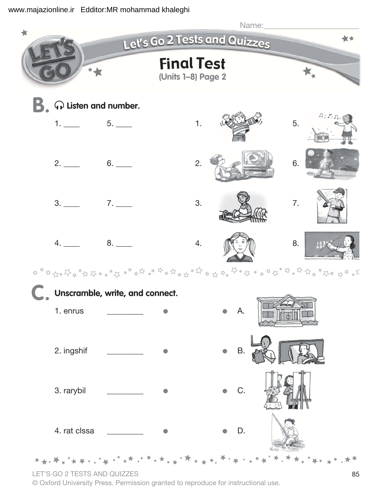

## LET'S GO 2 TESTS AND QUIZZES

© Oxford University Press. Permission granted to reproduce for instructional use.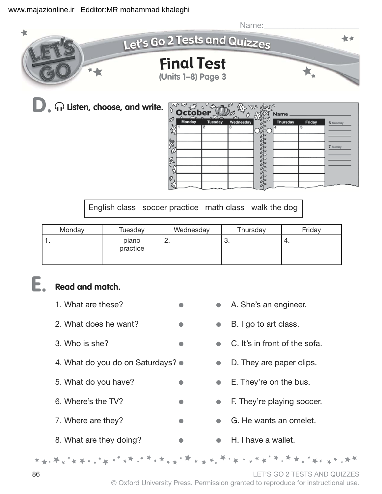

 $\widehat{\phantom{a}}$  **Q** Listen, choose, and write.

|          | そる<br>October |                     |                |              | <b>Name</b> |             |            |
|----------|---------------|---------------------|----------------|--------------|-------------|-------------|------------|
| D        | Monday        | <b>Tuesday</b><br>2 | Wednesday<br>3 |              | Thursday    | Friday<br>5 | 6 Saturday |
| <b>R</b> |               |                     |                |              |             |             | 7 Sunday   |
| š        |               |                     |                | <b>THANK</b> |             |             |            |
|          |               |                     |                |              |             |             |            |
| Ø        |               |                     |                |              |             |             |            |

English class soccer practice math class walk the dog

| Monday | Tuesday           | Wednesday | Thursday | Friday |
|--------|-------------------|-----------|----------|--------|
| . .    | piano<br>practice | <u>.</u>  | U.       | 4.     |

## $\mathbf{E}$  **Read and match.**

\*\*\*\*\*\*\*\*\*\*\*

- 1. What are these? **• • •** A. She's an engineer.
- 2. What does he want?  $\bullet$   $\bullet$   $\bullet$   $\bullet$  B. I go to art class.
- 3. Who is she?  $\bullet$   $\bullet$   $\bullet$   $\bullet$   $\bullet$  C. It's in front of the sofa.
- 4. What do you do on Saturdays?  $\bullet$  D. They are paper clips.
- 5. What do you have?  $\bullet$   $\bullet$  E. They're on the bus.
- 6. Where's the TV? **• •** • F. They're playing soccer.
- 7. Where are they?  $\bullet$   $\bullet$  G. He wants an omelet.
- -
- 8. What are they doing?  $\bullet$  **H. I have a wallet.**

86 LET'S GO 2 TESTS AND QUIZZES

© Oxford University Press. Permission granted to reproduce for instructional use.

<sub>ኯ</sub>ቚኇጞዿፙ<sub>ዸፙ</sub>ጞጞ፞ዿዿፙጞጞዿጞዿጞዿጞጞ፞ዸጞ፞ፙዿጞዿዿፙጟጞኇ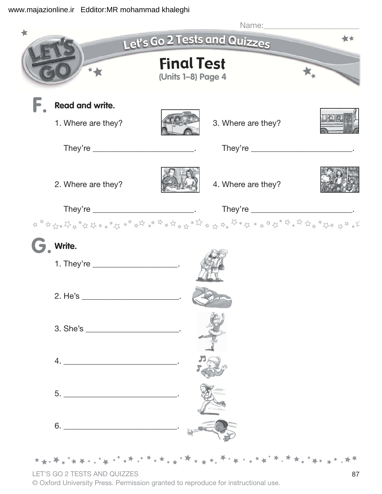

LET'S GO 2 TESTS AND QUIZZES

© Oxford University Press. Permission granted to reproduce for instructional use.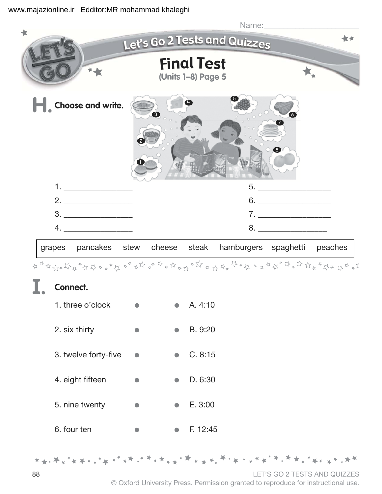

## Connect. **>#**

| 1. three o'clock     |  | A.4:10  |
|----------------------|--|---------|
| 2. six thirty        |  | B. 9:20 |
| 3. twelve forty-five |  | C. 8:15 |
| 4. eight fifteen     |  | D. 6:30 |
| 5. nine twenty       |  | E. 3:00 |

6. four ten **• • 6.** F. 12:45

88 LET'S GO 2 TESTS AND QUIZZES

© Oxford University Press. Permission granted to reproduce for instructional use.